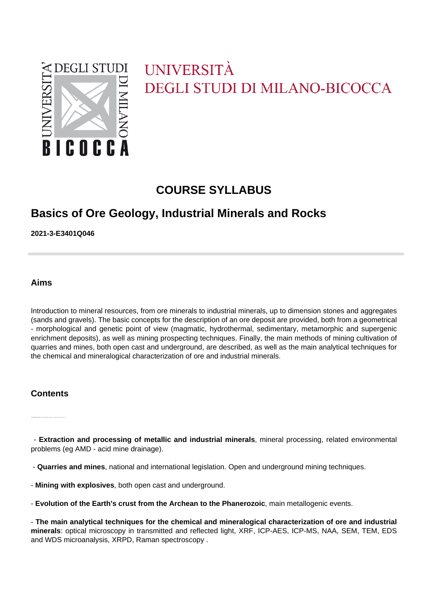

# UNIVERSITÀ **DEGLI STUDI DI MILANO-BICOCCA**

# **COURSE SYLLABUS**

# **Basics of Ore Geology, Industrial Minerals and Rocks**

**2021-3-E3401Q046**

**Aims**

Introduction to mineral resources, from ore minerals to industrial minerals, up to dimension stones and aggregates (sands and gravels). The basic concepts for the description of an ore deposit are provided, both from a geometrical - morphological and genetic point of view (magmatic, hydrothermal, sedimentary, metamorphic and supergenic enrichment deposits), as well as mining prospecting techniques. Finally, the main methods of mining cultivation of quarries and mines, both open cast and underground, are described, as well as the main analytical techniques for the chemical and mineralogical characterization of ore and industrial minerals.

### **Contents**

- **Ore and industrial minerals**, concept of mineral deposit, grade or tenor, tonnage and Clarke (mean crustal tenor).

 - **Extraction and processing of metallic and industrial minerals**, mineral processing, related environmental problems (eg AMD - acid mine drainage).

- **Quarries and mines**, national and international legislation. Open and underground mining techniques.

- **Mining with explosives**, both open cast and underground.
- **Evolution of the Earth's crust from the Archean to the Phanerozoic**, main metallogenic events.

- **The main analytical techniques for the chemical and mineralogical characterization of ore and industrial minerals**: optical microscopy in transmitted and reflected light, XRF, ICP-AES, ICP-MS, NAA, SEM, TEM, EDS and WDS microanalysis, XRPD, Raman spectroscopy .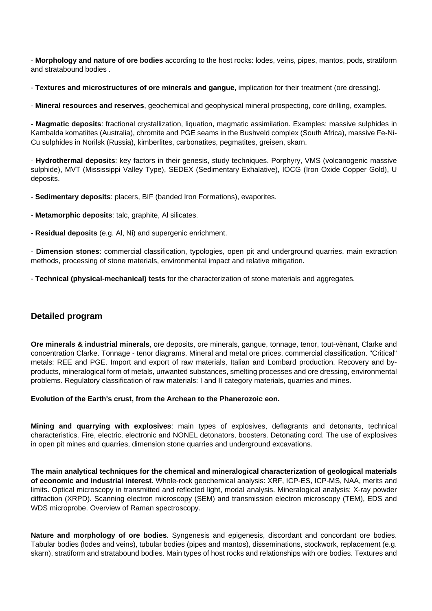- **Morphology and nature of ore bodies** according to the host rocks: lodes, veins, pipes, mantos, pods, stratiform and stratabound bodies .

- **Textures and microstructures of ore minerals and gangue**, implication for their treatment (ore dressing).

- **Mineral resources and reserves**, geochemical and geophysical mineral prospecting, core drilling, examples.

- **Magmatic deposits**: fractional crystallization, liquation, magmatic assimilation. Examples: massive sulphides in Kambalda komatiites (Australia), chromite and PGE seams in the Bushveld complex (South Africa), massive Fe-Ni-Cu sulphides in Norilsk (Russia), kimberlites, carbonatites, pegmatites, greisen, skarn.

- **Hydrothermal deposits**: key factors in their genesis, study techniques. Porphyry, VMS (volcanogenic massive sulphide), MVT (Mississippi Valley Type), SEDEX (Sedimentary Exhalative), IOCG (Iron Oxide Copper Gold), U deposits.

- **Sedimentary deposits**: placers, BIF (banded Iron Formations), evaporites.

- **Metamorphic deposits**: talc, graphite, Al silicates.

- **Residual deposits** (e.g. Al, Ni) and supergenic enrichment.

- **Dimension stones**: commercial classification, typologies, open pit and underground quarries, main extraction methods, processing of stone materials, environmental impact and relative mitigation.

- **Technical (physical-mechanical) tests** for the characterization of stone materials and aggregates.

#### **Detailed program**

**Ore minerals & industrial minerals**, ore deposits, ore minerals, gangue, tonnage, tenor, tout-vènant, Clarke and concentration Clarke. Tonnage - tenor diagrams. Mineral and metal ore prices, commercial classification. "Critical" metals: REE and PGE. Import and export of raw materials, Italian and Lombard production. Recovery and byproducts, mineralogical form of metals, unwanted substances, smelting processes and ore dressing, environmental problems. Regulatory classification of raw materials: I and II category materials, quarries and mines.

**Evolution of the Earth's crust, from the Archean to the Phanerozoic eon.** 

**Mining and quarrying with explosives**: main types of explosives, deflagrants and detonants, technical characteristics. Fire, electric, electronic and NONEL detonators, boosters. Detonating cord. The use of explosives in open pit mines and quarries, dimension stone quarries and underground excavations.

**The main analytical techniques for the chemical and mineralogical characterization of geological materials of economic and industrial interest**. Whole-rock geochemical analysis: XRF, ICP-ES, ICP-MS, NAA, merits and limits. Optical microscopy in transmitted and reflected light, modal analysis. Mineralogical analysis: X-ray powder diffraction (XRPD). Scanning electron microscopy (SEM) and transmission electron microscopy (TEM), EDS and WDS microprobe. Overview of Raman spectroscopy.

**Nature and morphology of ore bodies**. Syngenesis and epigenesis, discordant and concordant ore bodies. Tabular bodies (lodes and veins), tubular bodies (pipes and mantos), disseminations, stockwork, replacement (e.g. skarn), stratiform and stratabound bodies. Main types of host rocks and relationships with ore bodies. Textures and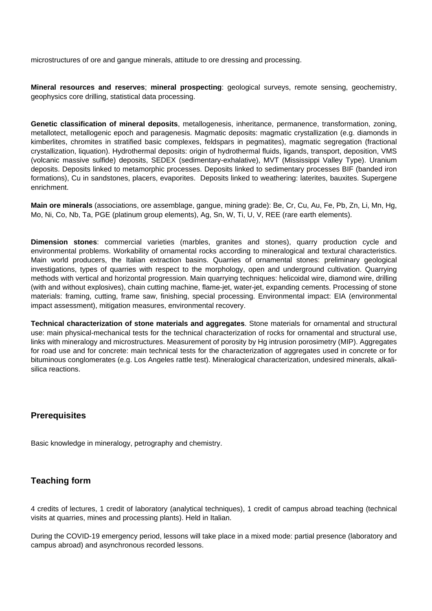microstructures of ore and gangue minerals, attitude to ore dressing and processing.

**Mineral resources and reserves**; **mineral prospecting**: geological surveys, remote sensing, geochemistry, geophysics core drilling, statistical data processing.

**Genetic classification of mineral deposits**, metallogenesis, inheritance, permanence, transformation, zoning, metallotect, metallogenic epoch and paragenesis. Magmatic deposits: magmatic crystallization (e.g. diamonds in kimberlites, chromites in stratified basic complexes, feldspars in pegmatites), magmatic segregation (fractional crystallization, liquation). Hydrothermal deposits: origin of hydrothermal fluids, ligands, transport, deposition, VMS (volcanic massive sulfide) deposits, SEDEX (sedimentary-exhalative), MVT (Mississippi Valley Type). Uranium deposits. Deposits linked to metamorphic processes. Deposits linked to sedimentary processes BIF (banded iron formations), Cu in sandstones, placers, evaporites. Deposits linked to weathering: laterites, bauxites. Supergene enrichment.

**Main ore minerals** (associations, ore assemblage, gangue, mining grade): Be, Cr, Cu, Au, Fe, Pb, Zn, Li, Mn, Hg, Mo, Ni, Co, Nb, Ta, PGE (platinum group elements), Ag, Sn, W, Ti, U, V, REE (rare earth elements).

**Dimension stones**: commercial varieties (marbles, granites and stones), quarry production cycle and environmental problems. Workability of ornamental rocks according to mineralogical and textural characteristics. Main world producers, the Italian extraction basins. Quarries of ornamental stones: preliminary geological investigations, types of quarries with respect to the morphology, open and underground cultivation. Quarrying methods with vertical and horizontal progression. Main quarrying techniques: helicoidal wire, diamond wire, drilling (with and without explosives), chain cutting machine, flame-jet, water-jet, expanding cements. Processing of stone materials: framing, cutting, frame saw, finishing, special processing. Environmental impact: EIA (environmental impact assessment), mitigation measures, environmental recovery.

**Technical characterization of stone materials and aggregates**. Stone materials for ornamental and structural use: main physical-mechanical tests for the technical characterization of rocks for ornamental and structural use, links with mineralogy and microstructures. Measurement of porosity by Hg intrusion porosimetry (MIP). Aggregates for road use and for concrete: main technical tests for the characterization of aggregates used in concrete or for bituminous conglomerates (e.g. Los Angeles rattle test). Mineralogical characterization, undesired minerals, alkalisilica reactions.

### **Prerequisites**

Basic knowledge in mineralogy, petrography and chemistry.

### **Teaching form**

4 credits of lectures, 1 credit of laboratory (analytical techniques), 1 credit of campus abroad teaching (technical visits at quarries, mines and processing plants). Held in Italian.

During the COVID-19 emergency period, lessons will take place in a mixed mode: partial presence (laboratory and campus abroad) and asynchronous recorded lessons.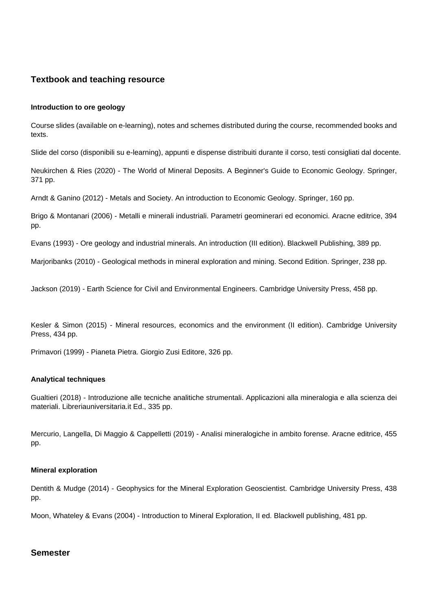#### **Textbook and teaching resource**

#### **Introduction to ore geology**

Course slides (available on e-learning), notes and schemes distributed during the course, recommended books and texts.

Slide del corso (disponibili su e-learning), appunti e dispense distribuiti durante il corso, testi consigliati dal docente.

Neukirchen & Ries (2020) - The World of Mineral Deposits. A Beginner's Guide to Economic Geology. Springer, 371 pp.

Arndt & Ganino (2012) - Metals and Society. An introduction to Economic Geology. Springer, 160 pp.

Brigo & Montanari (2006) - Metalli e minerali industriali. Parametri geominerari ed economici. Aracne editrice, 394 pp.

Evans (1993) - Ore geology and industrial minerals. An introduction (III edition). Blackwell Publishing, 389 pp.

Marjoribanks (2010) - Geological methods in mineral exploration and mining. Second Edition. Springer, 238 pp.

Jackson (2019) - Earth Science for Civil and Environmental Engineers. Cambridge University Press, 458 pp.

Kesler & Simon (2015) - Mineral resources, economics and the environment (II edition). Cambridge University Press, 434 pp.

Primavori (1999) - Pianeta Pietra. Giorgio Zusi Editore, 326 pp.

#### **Analytical techniques**

Gualtieri (2018) - Introduzione alle tecniche analitiche strumentali. Applicazioni alla mineralogia e alla scienza dei materiali. Libreriauniversitaria.it Ed., 335 pp.

Mercurio, Langella, Di Maggio & Cappelletti (2019) - Analisi mineralogiche in ambito forense. Aracne editrice, 455 pp.

#### **Mineral exploration**

Dentith & Mudge (2014) - Geophysics for the Mineral Exploration Geoscientist. Cambridge University Press, 438 pp.

Moon, Whateley & Evans (2004) - Introduction to Mineral Exploration, II ed. Blackwell publishing, 481 pp.

#### **Semester**